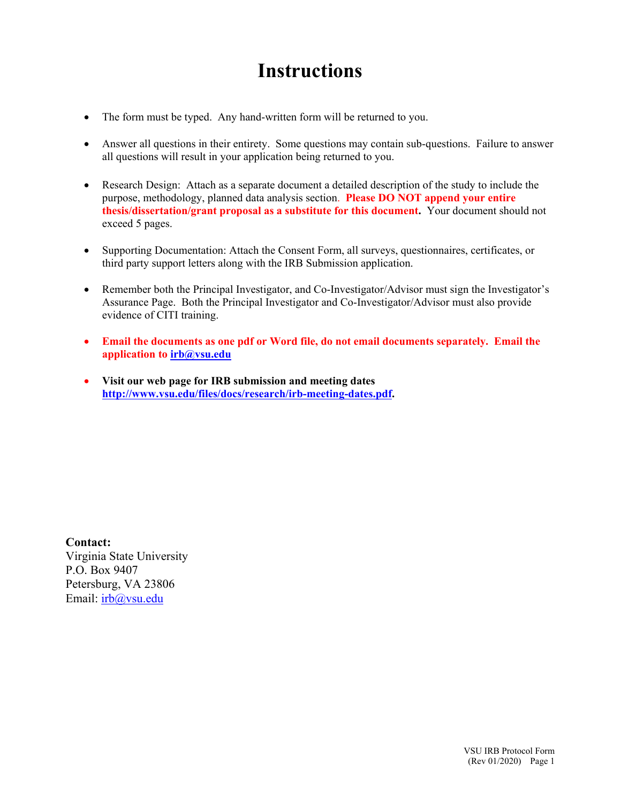# **Instructions**

- The form must be typed. Any hand-written form will be returned to you.
- Answer all questions in their entirety. Some questions may contain sub-questions. Failure to answer all questions will result in your application being returned to you.
- Research Design: Attach as a separate document a detailed description of the study to include the purpose, methodology, planned data analysis section. **Please DO NOT append your entire thesis/dissertation/grant proposal as a substitute for this document.** Your document should not exceed 5 pages.
- Supporting Documentation: Attach the Consent Form, all surveys, questionnaires, certificates, or third party support letters along with the IRB Submission application.
- Remember both the Principal Investigator, and Co-Investigator/Advisor must sign the Investigator's Assurance Page. Both the Principal Investigator and Co-Investigator/Advisor must also provide evidence of CITI training.
- **Email the documents as one pdf or Word file, do not email documents separately. Email the application to [irb@vsu.edu](mailto:irb@vsu.edu)**
- **Visit our web page for IRB submission and meeting dates [http://www.vsu.edu/files/docs/research/irb-meeting-dates.pdf.](http://www.vsu.edu/files/docs/research/irb-meeting-dates.pdf)**

**Contact:** Virginia State University P.O. Box 9407 Petersburg, VA 23806 Email: [irb@vsu.edu](mailto:irb@vsu.edu)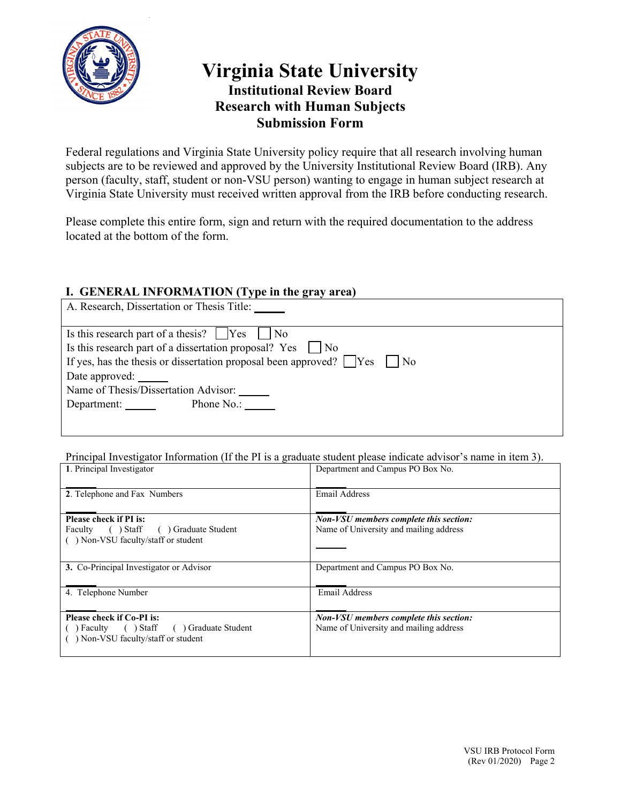

# **Virginia State University Institutional Review Board Research with Human Subjects Submission Form**

Federal regulations and Virginia State University policy require that all research involving human subjects are to be reviewed and approved by the University Institutional Review Board (IRB). Any person (faculty, staff, student or non-VSU person) wanting to engage in human subject research at Virginia State University must received written approval from the IRB before conducting research.

Please complete this entire form, sign and return with the required documentation to the address located at the bottom of the form.

## **I. GENERAL INFORMATION (Type in the gray area)**

| A. Research, Dissertation or Thesis Title:                                                                                                                                                                                                                                                                             |
|------------------------------------------------------------------------------------------------------------------------------------------------------------------------------------------------------------------------------------------------------------------------------------------------------------------------|
| Is this research part of a thesis? $ $   $ $ Yes  <br>$\vert$ No<br>Is this research part of a dissertation proposal? Yes $\parallel$ No<br>If yes, has the thesis or dissertation proposal been approved? $\Box$ Yes $\Box$ No<br>Date approved:<br>Name of Thesis/Dissertation Advisor:<br>Phone No.:<br>Department: |
|                                                                                                                                                                                                                                                                                                                        |

Principal Investigator Information (If the PI is a graduate student please indicate advisor's name in item 3).

| 1. Principal Investigator                                                                                   | Department and Campus PO Box No.                                                 |
|-------------------------------------------------------------------------------------------------------------|----------------------------------------------------------------------------------|
| 2. Telephone and Fax Numbers                                                                                | Email Address                                                                    |
| <b>Please check if PI is:</b>                                                                               | Non-VSU members complete this section:                                           |
| Faculty () Staff<br>() Graduate Student<br>() Non-VSU faculty/staff or student                              | Name of University and mailing address                                           |
| 3. Co-Principal Investigator or Advisor                                                                     | Department and Campus PO Box No.                                                 |
| 4. Telephone Number                                                                                         | Email Address                                                                    |
| Please check if Co-PI is:<br>) Faculty ( ) Staff ( ) Graduate Student<br>) Non-VSU faculty/staff or student | Non-VSU members complete this section:<br>Name of University and mailing address |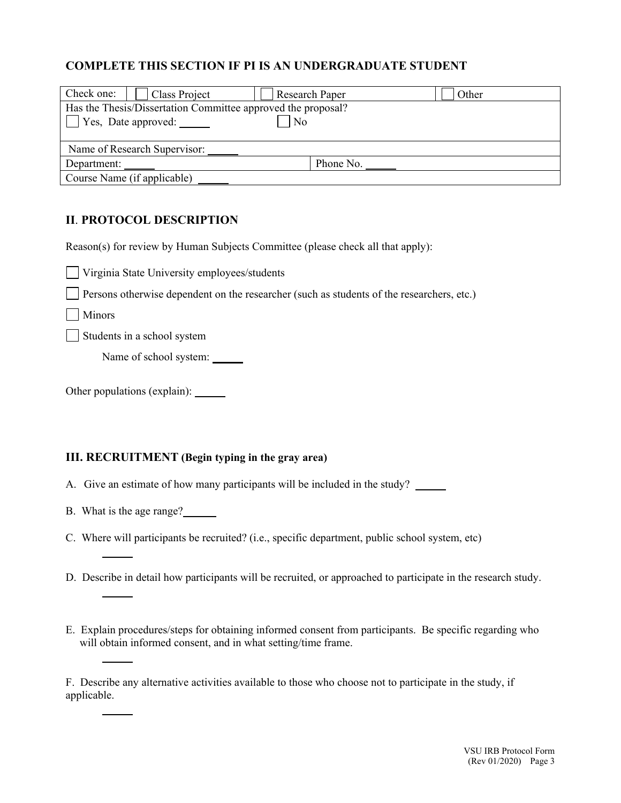# **COMPLETE THIS SECTION IF PI IS AN UNDERGRADUATE STUDENT**

| Check one:                                                   | Class Project | Research Paper | Other |  |  |
|--------------------------------------------------------------|---------------|----------------|-------|--|--|
| Has the Thesis/Dissertation Committee approved the proposal? |               |                |       |  |  |
| Yes, Date approved: _____<br>No                              |               |                |       |  |  |
|                                                              |               |                |       |  |  |
| Name of Research Supervisor:                                 |               |                |       |  |  |
| Department:                                                  |               | Phone No.      |       |  |  |
| Course Name (if applicable)                                  |               |                |       |  |  |

# **II**. **PROTOCOL DESCRIPTION**

Reason(s) for review by Human Subjects Committee (please check all that apply):

Virginia State University employees/students

 $\Box$  Persons otherwise dependent on the researcher (such as students of the researchers, etc.)

Minors

Students in a school system

Name of school system: \_\_\_\_\_\_

Other populations (explain):

#### **III. RECRUITMENT (Begin typing in the gray area)**

A. Give an estimate of how many participants will be included in the study?

B. What is the age range?

- C. Where will participants be recruited? (i.e., specific department, public school system, etc)
- D. Describe in detail how participants will be recruited, or approached to participate in the research study.
- E. Explain procedures/steps for obtaining informed consent from participants. Be specific regarding who will obtain informed consent, and in what setting/time frame.

F. Describe any alternative activities available to those who choose not to participate in the study, if applicable.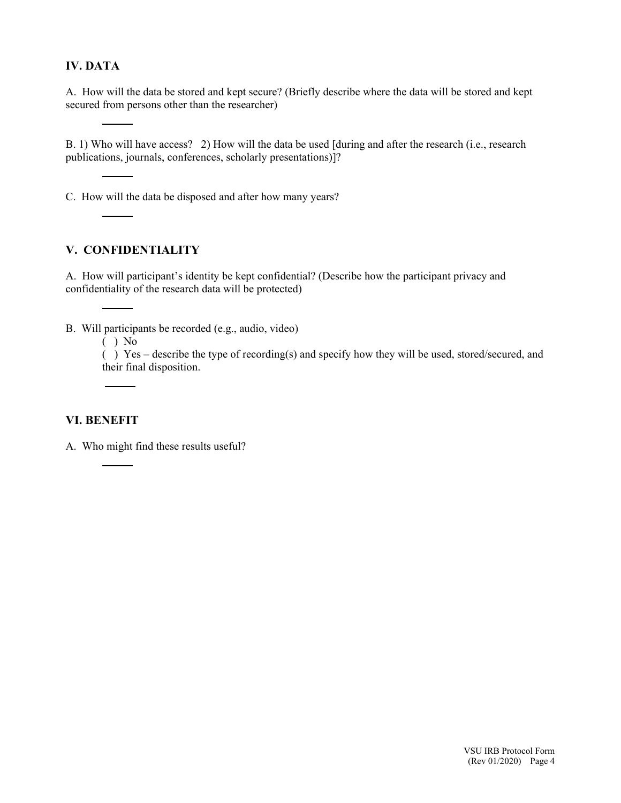## **IV. DATA**

A. How will the data be stored and kept secure? (Briefly describe where the data will be stored and kept secured from persons other than the researcher)

B. 1) Who will have access? 2) How will the data be used [during and after the research (i.e., research publications, journals, conferences, scholarly presentations)]?

C. How will the data be disposed and after how many years?

#### **V. CONFIDENTIALITY**

A. How will participant's identity be kept confidential? (Describe how the participant privacy and confidentiality of the research data will be protected)

- B. Will participants be recorded (e.g., audio, video)
	- ( ) No

( ) Yes – describe the type of recording(s) and specify how they will be used, stored/secured, and their final disposition.

# **VI. BENEFIT**

A. Who might find these results useful?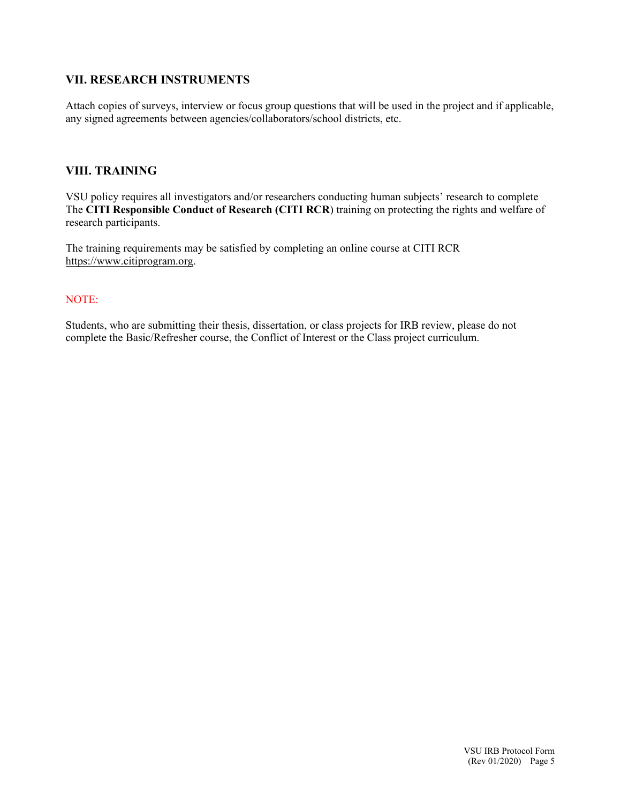# **VII. RESEARCH INSTRUMENTS**

Attach copies of surveys, interview or focus group questions that will be used in the project and if applicable, any signed agreements between agencies/collaborators/school districts, etc.

#### **VIII. TRAINING**

VSU policy requires all investigators and/or researchers conducting human subjects' research to complete The **CITI Responsible Conduct of Research (CITI RCR**) training on protecting the rights and welfare of research participants.

The training requirements may be satisfied by completing an online course at CITI RCR [https://www.citiprogram.org.](https://www.citiprogram.org/)

#### NOTE:

Students, who are submitting their thesis, dissertation, or class projects for IRB review, please do not complete the Basic/Refresher course, the Conflict of Interest or the Class project curriculum.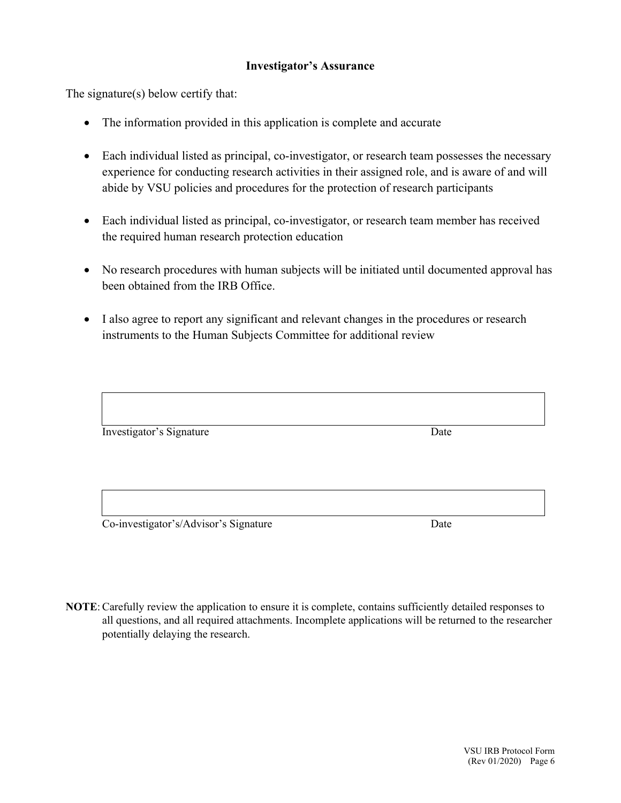## **Investigator's Assurance**

The signature(s) below certify that:

- The information provided in this application is complete and accurate
- Each individual listed as principal, co-investigator, or research team possesses the necessary experience for conducting research activities in their assigned role, and is aware of and will abide by VSU policies and procedures for the protection of research participants
- Each individual listed as principal, co-investigator, or research team member has received the required human research protection education
- No research procedures with human subjects will be initiated until documented approval has been obtained from the IRB Office.
- I also agree to report any significant and relevant changes in the procedures or research instruments to the Human Subjects Committee for additional review

| Investigator's Signature | Date |
|--------------------------|------|
|                          |      |

Co-investigator's/Advisor's Signature Date

**NOTE**: Carefully review the application to ensure it is complete, contains sufficiently detailed responses to all questions, and all required attachments. Incomplete applications will be returned to the researcher potentially delaying the research.